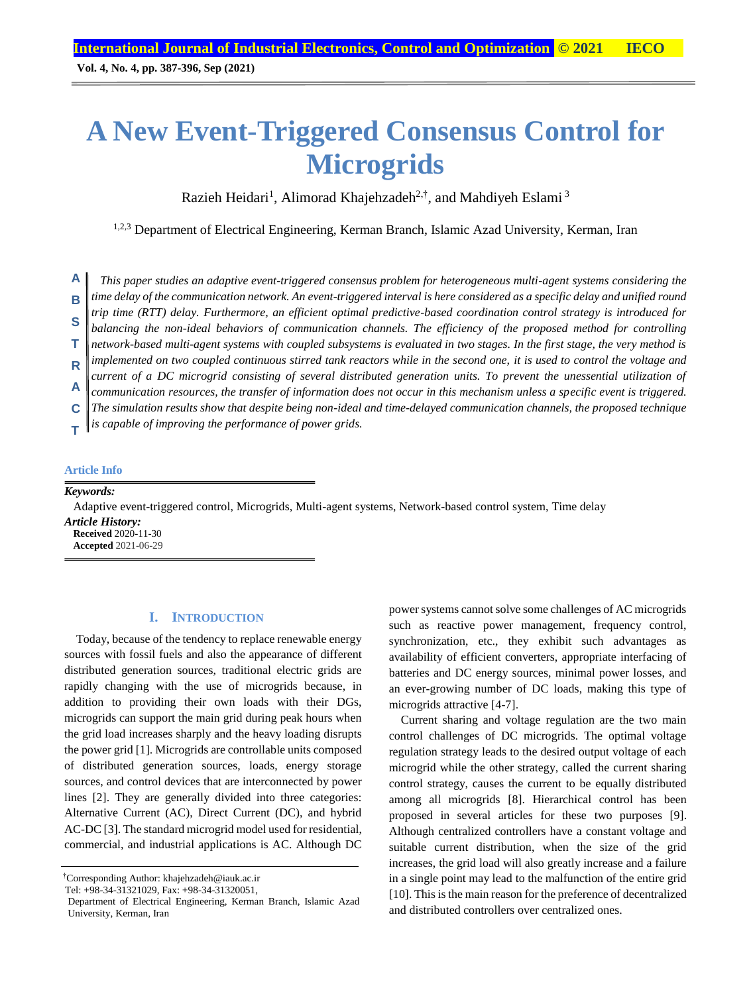**Vol. 4, No. 4, pp. 387-396, Sep (2021)**

# **A New Event-Triggered Consensus Control for Microgrids**

Razieh Heidari<sup>1</sup>, Alimorad Khajehzadeh<sup>2,†</sup>, and Mahdiyeh Eslami<sup>3</sup>

1,2,3 Department of Electrical Engineering, Kerman Branch, Islamic Azad University, Kerman, Iran

*This paper studies an adaptive event-triggered consensus problem for heterogeneous multi-agent systems considering the time delay of the communication network. An event-triggered interval is here considered as a specific delay and unified round trip time (RTT) delay. Furthermore, an efficient optimal predictive-based coordination control strategy is introduced for balancing the non-ideal behaviors of communication channels. The efficiency of the proposed method for controlling network-based multi-agent systems with coupled subsystems is evaluated in two stages. In the first stage, the very method is implemented on two coupled continuous stirred tank reactors while in the second one, it is used to control the voltage and current of a DC microgrid consisting of several distributed generation units. To prevent the unessential utilization of communication resources, the transfer of information does not occur in this mechanism unless a specific event is triggered. The simulation results show that despite being non-ideal and time-delayed communication channels, the proposed technique is capable of improving the performance of power grids.* **A B S T R A C T**

#### **Article Info**

*Keywords:*

Adaptive event-triggered control, Microgrids, Multi-agent systems, Network-based control system, Time delay

*Article History:* **Received** 2020-11-30 **Accepted** 2021-06-29

#### **I. INTRODUCTION**

Today, because of the tendency to replace renewable energy sources with fossil fuels and also the appearance of different distributed generation sources, traditional electric grids are rapidly changing with the use of microgrids because, in addition to providing their own loads with their DGs, microgrids can support the main grid during peak hours when the grid load increases sharply and the heavy loading disrupts the power grid [1]. Microgrids are controllable units composed of distributed generation sources, loads, energy storage sources, and control devices that are interconnected by power lines [2]. They are generally divided into three categories: Alternative Current (AC), Direct Current (DC), and hybrid AC-DC [3]. The standard microgrid model used for residential, commercial, and industrial applications is AC. Although DC

†Corresponding Author: khajehzadeh@iauk.ac.ir

power systems cannot solve some challenges of AC microgrids such as reactive power management, frequency control, synchronization, etc., they exhibit such advantages as availability of efficient converters, appropriate interfacing of batteries and DC energy sources, minimal power losses, and an ever-growing number of DC loads, making this type of microgrids attractive [4-7].

Current sharing and voltage regulation are the two main control challenges of DC microgrids. The optimal voltage regulation strategy leads to the desired output voltage of each microgrid while the other strategy, called the current sharing control strategy, causes the current to be equally distributed among all microgrids [8]. Hierarchical control has been proposed in several articles for these two purposes [9]. Although centralized controllers have a constant voltage and suitable current distribution, when the size of the grid increases, the grid load will also greatly increase and a failure in a single point may lead to the malfunction of the entire grid [10]. This is the main reason for the preference of decentralized and distributed controllers over centralized ones.

Tel: +98-34-31321029, Fax: +98-34-31320051,

Department of Electrical Engineering, Kerman Branch, Islamic Azad University, Kerman, Iran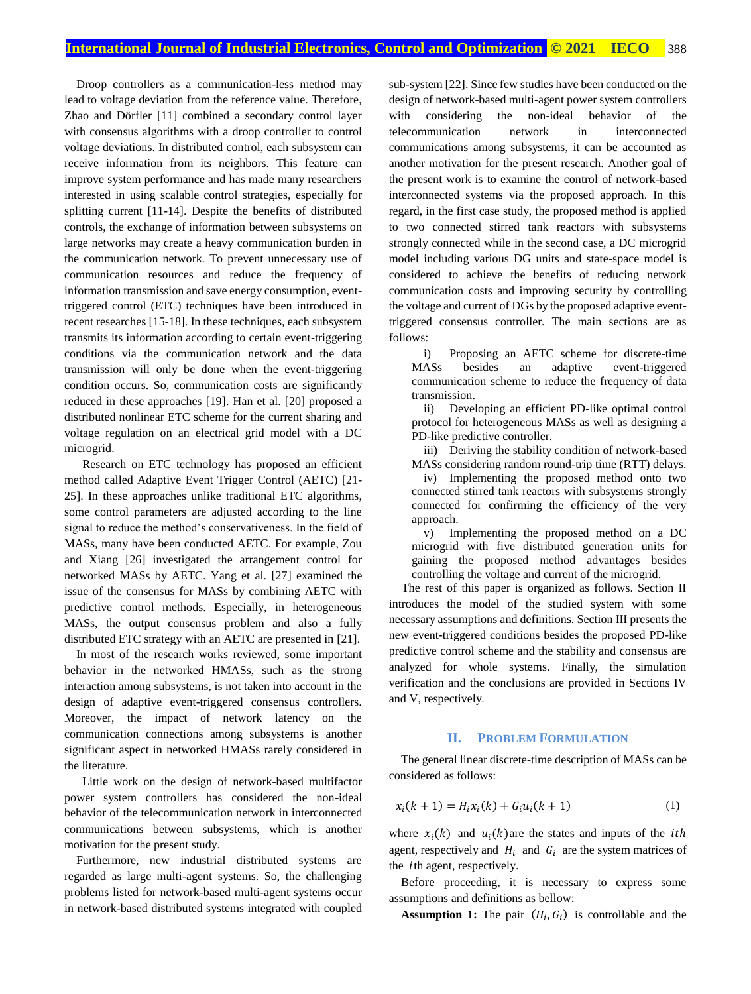Droop controllers as a communication-less method may lead to voltage deviation from the reference value. Therefore, Zhao and Dörfler [11] combined a secondary control layer with consensus algorithms with a droop controller to control voltage deviations. In distributed control, each subsystem can receive information from its neighbors. This feature can improve system performance and has made many researchers interested in using scalable control strategies, especially for splitting current [11-14]. Despite the benefits of distributed controls, the exchange of information between subsystems on large networks may create a heavy communication burden in the communication network. To prevent unnecessary use of communication resources and reduce the frequency of information transmission and save energy consumption, eventtriggered control (ETC) techniques have been introduced in recent researches [15-18]. In these techniques, each subsystem transmits its information according to certain event-triggering conditions via the communication network and the data transmission will only be done when the event-triggering condition occurs. So, communication costs are significantly reduced in these approaches [19]. Han et al. [20] proposed a distributed nonlinear ETC scheme for the current sharing and voltage regulation on an electrical grid model with a DC microgrid.

Research on ETC technology has proposed an efficient method called Adaptive Event Trigger Control (AETC) [21- 25]. In these approaches unlike traditional ETC algorithms, some control parameters are adjusted according to the line signal to reduce the method's conservativeness. In the field of MASs, many have been conducted AETC. For example, Zou and Xiang [26] investigated the arrangement control for networked MASs by AETC. Yang et al. [27] examined the issue of the consensus for MASs by combining AETC with predictive control methods. Especially, in heterogeneous MASs, the output consensus problem and also a fully distributed ETC strategy with an AETC are presented in [21].

In most of the research works reviewed, some important behavior in the networked HMASs, such as the strong interaction among subsystems, is not taken into account in the design of adaptive event-triggered consensus controllers. Moreover, the impact of network latency on the communication connections among subsystems is another significant aspect in networked HMASs rarely considered in the literature.

Little work on the design of network-based multifactor power system controllers has considered the non-ideal behavior of the telecommunication network in interconnected communications between subsystems, which is another motivation for the present study.

Furthermore, new industrial distributed systems are regarded as large multi-agent systems. So, the challenging problems listed for network-based multi-agent systems occur in network-based distributed systems integrated with coupled sub-system [22]. Since few studies have been conducted on the design of network-based multi-agent power system controllers with considering the non-ideal behavior of the telecommunication network in interconnected communications among subsystems, it can be accounted as another motivation for the present research. Another goal of the present work is to examine the control of network-based interconnected systems via the proposed approach. In this regard, in the first case study, the proposed method is applied to two connected stirred tank reactors with subsystems strongly connected while in the second case, a DC microgrid model including various DG units and state-space model is considered to achieve the benefits of reducing network communication costs and improving security by controlling the voltage and current of DGs by the proposed adaptive eventtriggered consensus controller. The main sections are as follows:

i) Proposing an AETC scheme for discrete-time MASs besides an adaptive event-triggered communication scheme to reduce the frequency of data transmission.

ii) Developing an efficient PD-like optimal control protocol for heterogeneous MASs as well as designing a PD-like predictive controller.

iii) Deriving the stability condition of network-based MASs considering random round-trip time (RTT) delays.

iv) Implementing the proposed method onto two connected stirred tank reactors with subsystems strongly connected for confirming the efficiency of the very approach.

v) Implementing the proposed method on a DC microgrid with five distributed generation units for gaining the proposed method advantages besides controlling the voltage and current of the microgrid.

The rest of this paper is organized as follows. Section II introduces the model of the studied system with some necessary assumptions and definitions. Section III presents the new event-triggered conditions besides the proposed PD-like predictive control scheme and the stability and consensus are analyzed for whole systems. Finally, the simulation verification and the conclusions are provided in Sections IV and V, respectively.

#### **II. PROBLEM FORMULATION**

The general linear discrete-time description of MASs can be considered as follows:

$$
x_i(k + 1) = H_i x_i(k) + G_i u_i(k + 1)
$$
 (1)

where  $x_i(k)$  and  $u_i(k)$  are the states and inputs of the *ith* agent, respectively and  $H_i$  and  $G_i$  are the system matrices of the *i*th agent, respectively.

Before proceeding, it is necessary to express some assumptions and definitions as bellow:

**Assumption 1:** The pair  $(H_i, G_i)$  is controllable and the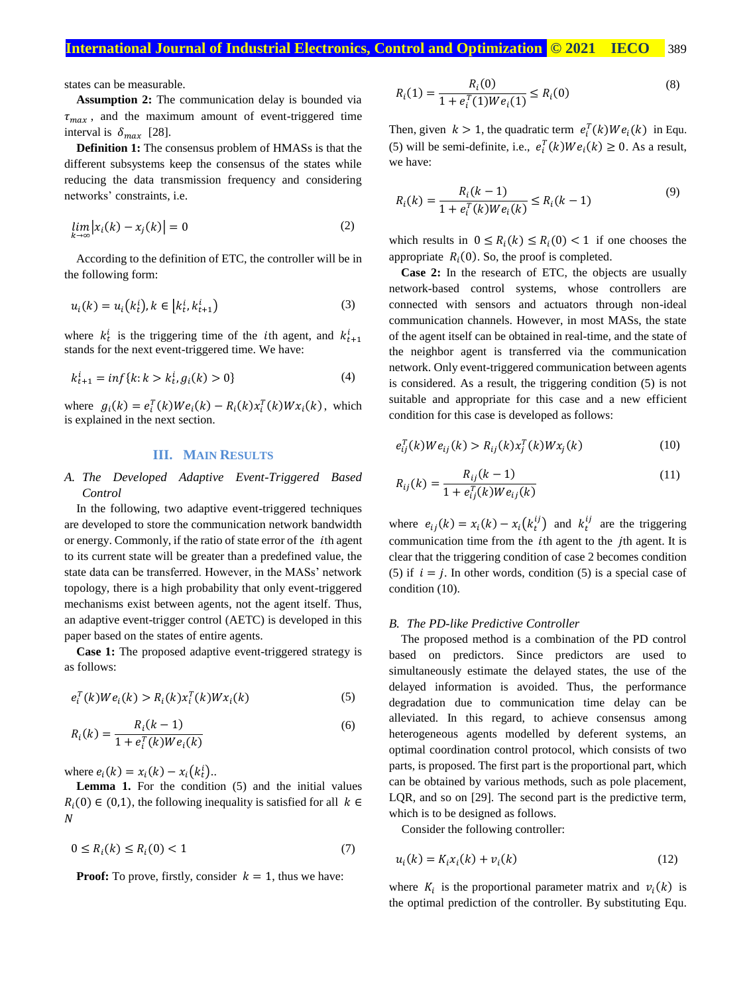states can be measurable.

**Assumption 2:** The communication delay is bounded via  $\tau_{max}$ , and the maximum amount of event-triggered time interval is  $\delta_{max}$  [28].

**Definition 1:** The consensus problem of HMASs is that the different subsystems keep the consensus of the states while reducing the data transmission frequency and considering networks' constraints, i.e.

$$
\lim_{k \to \infty} |x_i(k) - x_j(k)| = 0 \tag{2}
$$

According to the definition of ETC, the controller will be in the following form:

$$
u_i(k) = u_i(k_t^i), k \in [k_t^i, k_{t+1}^i)
$$
\n
$$
(3)
$$

where  $k_t^i$  is the triggering time of the *i*th agent, and  $k_{t+1}^i$ stands for the next event-triggered time. We have:

$$
k_{t+1}^i = \inf\{k : k > k_t^i, g_i(k) > 0\} \tag{4}
$$

where  $g_i(k) = e_i^T(k)W e_i(k) - R_i(k)x_i^T(k)W x_i(k)$ , which is explained in the next section.

# **III. MAIN RESULTS**

## *A. The Developed Adaptive Event-Triggered Based Control*

In the following, two adaptive event-triggered techniques are developed to store the communication network bandwidth or energy. Commonly, if the ratio of state error of the *i*th agent to its current state will be greater than a predefined value, the state data can be transferred. However, in the MASs' network topology, there is a high probability that only event-triggered mechanisms exist between agents, not the agent itself. Thus, an adaptive event-trigger control (AETC) is developed in this paper based on the states of entire agents.

**Case 1:** The proposed adaptive event-triggered strategy is as follows:

$$
e_i^T(k)We_i(k) > R_i(k)x_i^T(k)Wx_i(k)
$$
\n<sup>(5)</sup>

$$
R_i(k) = \frac{R_i(k-1)}{1 + e_i^T(k)W e_i(k)}
$$
(6)

where  $e_i(k) = x_i(k) - x_i(k_i^i)$ ..

Lemma 1. For the condition (5) and the initial values  $R_i(0) \in (0,1)$ , the following inequality is satisfied for all  $k \in$  $\overline{N}$ 

$$
0 \le R_i(k) \le R_i(0) < 1 \tag{7}
$$

**Proof:** To prove, firstly, consider  $k = 1$ , thus we have:

$$
R_i(1) = \frac{R_i(0)}{1 + e_i^T(1)We_i(1)} \le R_i(0)
$$
\n(8)

Then, given  $k > 1$ , the quadratic term  $e_i^T(k)We_i(k)$  in Equ. (5) will be semi-definite, i.e.,  $e_i^T(k)W e_i(k) \ge 0$ . As a result, we have:

$$
R_i(k) = \frac{R_i(k-1)}{1 + e_i^T(k)We_i(k)} \le R_i(k-1)
$$
\n(9)

which results in  $0 \le R_i(k) \le R_i(0) < 1$  if one chooses the appropriate  $R_i(0)$ . So, the proof is completed.

**Case 2:** In the research of ETC, the objects are usually network-based control systems, whose controllers are connected with sensors and actuators through non-ideal communication channels. However, in most MASs, the state of the agent itself can be obtained in real-time, and the state of the neighbor agent is transferred via the communication network. Only event-triggered communication between agents is considered. As a result, the triggering condition (5) is not suitable and appropriate for this case and a new efficient condition for this case is developed as follows:

$$
e_{ij}^{T}(k)We_{ij}(k) > R_{ij}(k)x_{j}^{T}(k)Wx_{j}(k)
$$
\n(10)

$$
R_{ij}(k) = \frac{R_{ij}(k-1)}{1 + e_{ij}^T(k)We_{ij}(k)}
$$
(11)

where  $e_{ij}(k) = x_i(k) - x_i(k_t^{ij})$  and  $k_t^{ij}$  are the triggering communication time from the *i*th agent to the *j*th agent. It is clear that the triggering condition of case 2 becomes condition (5) if  $i = j$ . In other words, condition (5) is a special case of condition (10).

#### *B. The PD-like Predictive Controller*

The proposed method is a combination of the PD control based on predictors. Since predictors are used to simultaneously estimate the delayed states, the use of the delayed information is avoided. Thus, the performance degradation due to communication time delay can be alleviated. In this regard, to achieve consensus among heterogeneous agents modelled by deferent systems, an optimal coordination control protocol, which consists of two parts, is proposed. The first part is the proportional part, which can be obtained by various methods, such as pole placement, LQR, and so on [29]. The second part is the predictive term, which is to be designed as follows.

Consider the following controller:

$$
u_i(k) = K_i x_i(k) + v_i(k)
$$
\n(12)

where  $K_i$  is the proportional parameter matrix and  $v_i(k)$  is the optimal prediction of the controller. By substituting Equ.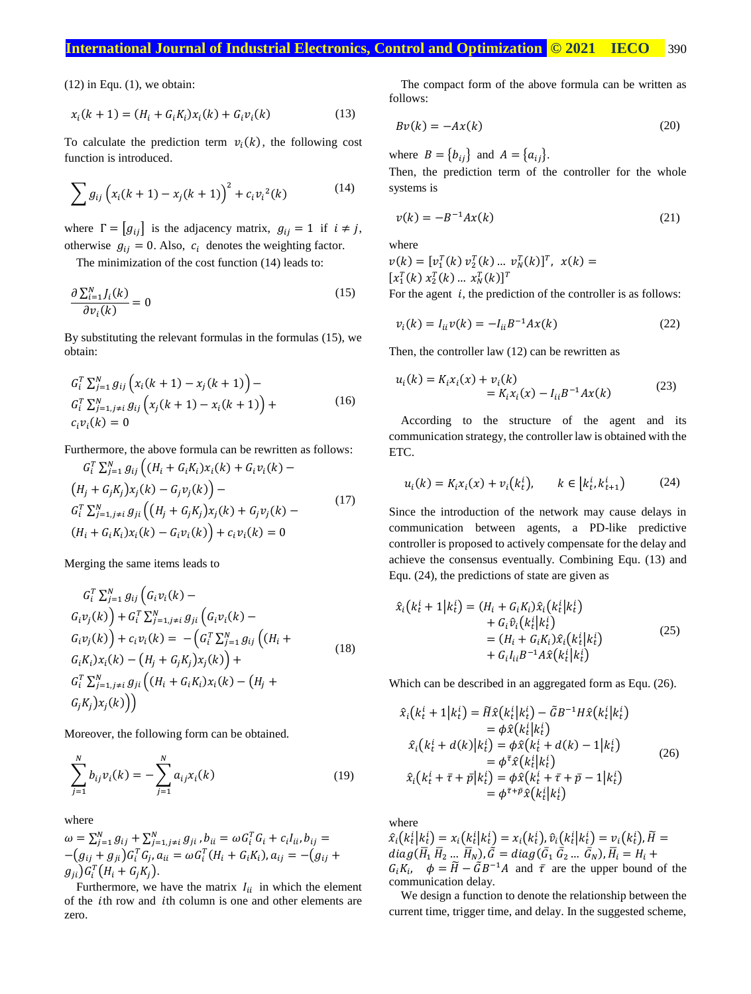# **International Journal of Industrial Electronics, Control and Optimization © 2021 IECO** 390

 $(12)$  in Equ.  $(1)$ , we obtain:

$$
x_i(k + 1) = (H_i + G_i K_i)x_i(k) + G_i v_i(k)
$$
\n(13)

To calculate the prediction term  $v_i(k)$ , the following cost function is introduced.

$$
\sum g_{ij} \left( x_i (k+1) - x_j (k+1) \right)^2 + c_i v_i^2(k) \tag{14}
$$

where  $\Gamma = [g_{ij}]$  is the adjacency matrix,  $g_{ij} = 1$  if  $i \neq j$ , otherwise  $g_{ij} = 0$ . Also,  $c_i$  denotes the weighting factor.

The minimization of the cost function (14) leads to:

$$
\frac{\partial \sum_{i=1}^{N} J_i(k)}{\partial v_i(k)} = 0
$$
\n(15)

By substituting the relevant formulas in the formulas (15), we obtain:

$$
G_i^T \sum_{j=1}^N g_{ij} \left( x_i (k+1) - x_j (k+1) \right) -
$$
  
\n
$$
G_i^T \sum_{j=1, j \neq i}^N g_{ij} \left( x_j (k+1) - x_i (k+1) \right) +
$$
  
\n
$$
c_i v_i (k) = 0
$$
\n(16)

Furthermore, the above formula can be rewritten as follows:

$$
G_i^T \sum_{j=1}^N g_{ij} \left( (H_i + G_i K_i) x_i(k) + G_i v_i(k) - (H_j + G_j K_j) x_j(k) - G_j v_j(k) \right) -
$$
  
\n
$$
G_i^T \sum_{j=1, j \neq i}^N g_{ji} \left( (H_j + G_j K_j) x_j(k) + G_j v_j(k) - (H_i + G_i K_i) x_i(k) - G_i v_i(k) \right) + c_i v_i(k) = 0
$$
\n(17)

Merging the same items leads to

$$
G_i^T \sum_{j=1}^N g_{ij} \left( G_i v_i(k) - G_i v_j(k) \right) + G_i^T \sum_{j=1, j \neq i}^N g_{ji} \left( G_i v_i(k) - G_i v_j(k) \right) + c_i v_i(k) = - \left( G_i^T \sum_{j=1}^N g_{ij} \left( (H_i + G_i K_i) x_i(k) - (H_j + G_j K_j) x_j(k) \right) +
$$
  
\n
$$
G_i^T \sum_{j=1, j \neq i}^N g_{ji} \left( (H_i + G_i K_i) x_i(k) - (H_j + G_j K_j) x_j(k) \right)
$$
\n(18)

Moreover, the following form can be obtained.

$$
\sum_{j=1}^{N} b_{ij} v_i(k) = -\sum_{j=1}^{N} a_{ij} x_i(k)
$$
\n(19)

where

$$
\omega = \sum_{j=1}^{N} g_{ij} + \sum_{j=1, j \neq i}^{N} g_{ji}, b_{ii} = \omega G_i^T G_i + c_i I_{ii}, b_{ij} = - (g_{ij} + g_{ji}) G_i^T G_j, a_{ii} = \omega G_i^T (H_i + G_i K_i), a_{ij} = -(g_{ij} + g_{ji}) G_i^T (H_i + G_j K_j).
$$

Furthermore, we have the matrix  $I_{ii}$  in which the element of the *i*th row and *i*th column is one and other elements are zero.

The compact form of the above formula can be written as follows:

$$
Bv(k) = -Ax(k) \tag{20}
$$

where  $B = \{b_{ij}\}\$ and  $A = \{a_{ij}\}.$ 

Then, the prediction term of the controller for the whole systems is

$$
v(k) = -B^{-1}Ax(k)
$$
\n<sup>(21)</sup>

where

 $v(k) = [v_1^T(k) v_2^T(k) ... v_N^T(k)]^T$ ,  $x(k) =$  $[x_1^T(k) x_2^T(k) ... x_N^T(k)]^T$ 

For the agent  $i$ , the prediction of the controller is as follows:

$$
v_i(k) = I_{ii} v(k) = -I_{ii} B^{-1} A x(k)
$$
 (22)

Then, the controller law (12) can be rewritten as

$$
u_i(k) = K_i x_i(x) + v_i(k)
$$
  
=  $K_i x_i(x) - I_{ii} B^{-1} A x(k)$  (23)

According to the structure of the agent and its communication strategy, the controller law is obtained with the ETC.

$$
u_i(k) = K_i x_i(x) + v_i(k_t^i), \qquad k \in [k_t^i, k_{t+1}^i)
$$
 (24)

Since the introduction of the network may cause delays in communication between agents, a PD-like predictive controller is proposed to actively compensate for the delay and achieve the consensus eventually. Combining Equ. (13) and Equ. (24), the predictions of state are given as

$$
\hat{x}_i(k_t^i + 1|k_t^i) = (H_i + G_i K_i) \hat{x}_i(k_t^i|k_t^i) \n+ G_i \hat{v}_i(k_t^i|k_t^i) \n= (H_i + G_i K_i) \hat{x}_i(k_t^i|k_t^i) \n+ G_i I_{ii} B^{-1} A \hat{x}(k_t^i|k_t^i)
$$
\n(25)

Which can be described in an aggregated form as Equ. (26).

$$
\hat{x}_i(k_t^i + 1|k_t^i) = \tilde{H}\hat{x}(k_t^i|k_t^i) - \tilde{G}B^{-1}H\hat{x}(k_t^i|k_t^i) \n= \phi\hat{x}(k_t^i|k_t^i) \n\hat{x}_i(k_t^i + d(k)|k_t^i) = \phi\hat{x}(k_t^i + d(k) - 1|k_t^i) \n= \phi^{\bar{\tau}}\hat{x}(k_t^i|k_t^i) \n\hat{x}_i(k_t^i + \bar{\tau} + \bar{p}|k_t^i) = \phi\hat{x}(k_t^i + \bar{\tau} + \bar{p} - 1|k_t^i) \n= \phi^{\bar{\tau} + \bar{p}}\hat{x}(k_t^i|k_t^i)
$$
\n(26)

where

 $\hat{x}_i(k_t^i|k_t^i) = x_i(k_t^i|k_t^i) = x_i(k_t^i), \hat{v}_i(k_t^i|k_t^i) = v_i(k_t^i), \tilde{H} =$  $diag(\bar{H}_1 \bar{H}_2 ... \bar{H}_N), \tilde{G} = diag(\bar{G}_1 \bar{G}_2 ... \bar{G}_N), \bar{H}_i = H_i +$  $G_i K_i$ ,  $\phi = \tilde{H} - \tilde{G} B^{-1} A$  and  $\bar{\tau}$  are the upper bound of the communication delay.

We design a function to denote the relationship between the current time, trigger time, and delay. In the suggested scheme,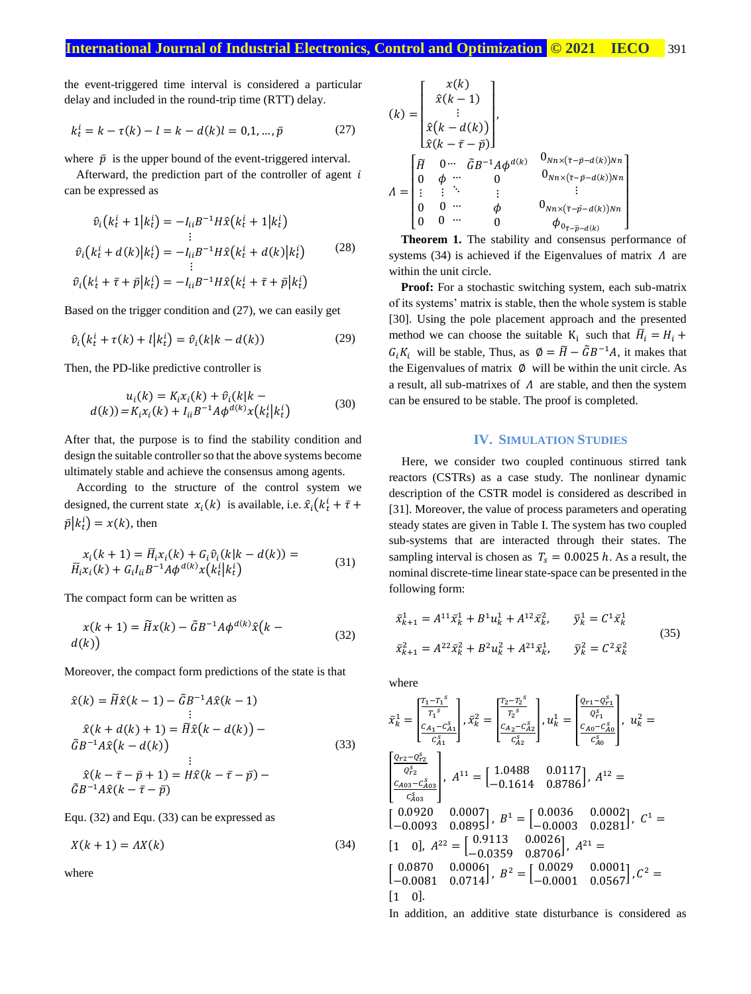the event-triggered time interval is considered a particular delay and included in the round-trip time (RTT) delay.

$$
k_t^i = k - \tau(k) - l = k - d(k)l = 0, 1, ..., \bar{p}
$$
 (27)

where  $\bar{p}$  is the upper bound of the event-triggered interval.

Afterward, the prediction part of the controller of agent  $i$ can be expressed as

$$
\hat{v}_i(k_t^i + 1|k_t^i) = -I_{ii}B^{-1}H\hat{x}(k_t^i + 1|k_t^i)
$$
\n
$$
\hat{v}_i(k_t^i + d(k)|k_t^i) = -I_{ii}B^{-1}H\hat{x}(k_t^i + d(k)|k_t^i)
$$
\n(28)

 $\hat{v}_i(k_t^i + \bar{\tau} + \bar{p}|k_t^i) = -I_{ii}B^{-1}H\hat{x}(k_t^i + \bar{\tau} + \bar{p}|k_t^i)$ 

Based on the trigger condition and (27), we can easily get

$$
\hat{v}_i(k_t^i + \tau(k) + l|k_t^i) = \hat{v}_i(k|k - d(k))
$$
\n(29)

Then, the PD-like predictive controller is

$$
u_i(k) = K_i x_i(k) + \hat{v}_i(k|k - d(k)) = K_i x_i(k) + I_{ii} B^{-1} A \phi^{d(k)} x(k_i^i | k_t^i)
$$
(30)

After that, the purpose is to find the stability condition and design the suitable controller so that the above systems become ultimately stable and achieve the consensus among agents.

According to the structure of the control system we designed, the current state  $x_i(k)$  is available, i.e.  $\hat{x}_i(k_t^i + \bar{\tau} + \bar{\tau}^i)$  $\bar{p}|k_t^i\rangle = x(k)$ , then

$$
x_i(k+1) = \overline{H}_i x_i(k) + G_i \hat{v}_i(k|k - d(k)) = \n\overline{H}_i x_i(k) + G_i I_{ii} B^{-1} A \phi^{d(k)} x(k_i^i | k_i^i)
$$
\n(31)

The compact form can be written as

$$
x(k+1) = \widetilde{H}x(k) - \widetilde{G}B^{-1}A\phi^{d(k)}\widehat{x}(k - d(k))
$$
\n(32)

Moreover, the compact form predictions of the state is that

$$
\hat{x}(k) = \tilde{H}\hat{x}(k-1) - \tilde{G}B^{-1}A\hat{x}(k-1)
$$
\n
$$
\vdots
$$
\n
$$
\hat{x}(k+d(k)+1) = \tilde{H}\hat{x}(k-d(k)) - \tilde{G}B^{-1}A\hat{x}(k-d(k))
$$
\n
$$
\vdots
$$
\n
$$
\hat{x}(k-\bar{\tau}-\bar{p}+1) = H\hat{x}(k-\bar{\tau}-\bar{p}) - \tilde{G}B^{-1}A\hat{x}(k-\bar{\tau}-\bar{p})
$$
\n(33)

Equ. (32) and Equ. (33) can be expressed as

$$
X(k+1) = AX(k) \tag{34}
$$

where

$$
(k) = \begin{bmatrix} x(k) \\ \hat{x}(k-1) \\ \vdots \\ \hat{x}(k-d(k)) \\ \hat{x}(k-\bar{\tau}-\bar{p}) \end{bmatrix}, \\ A = \begin{bmatrix} \widetilde{H} & 0 \cdots & \widetilde{G}B^{-1}A\phi^{d(k)} & 0_{NN \times (\bar{\tau}-\bar{p}-d(k))Nn} \\ 0 & \phi & \cdots & 0 & 0_{NN \times (\bar{\tau}-\bar{p}-d(k))Nn} \\ \vdots & \vdots & \ddots & \vdots & \vdots \\ 0 & 0 \cdots & \phi & 0_{NN \times (\bar{\tau}-\bar{p}-d(k))Nn} \\ 0 & 0 \cdots & 0 & \phi_{0_{\bar{\tau}-\bar{p}-d(k)}} \end{bmatrix}
$$

**Theorem 1.** The stability and consensus performance of systems (34) is achieved if the Eigenvalues of matrix  $\Lambda$  are within the unit circle.

**Proof:** For a stochastic switching system, each sub-matrix of its systems' matrix is stable, then the whole system is stable [30]. Using the pole placement approach and the presented method we can choose the suitable  $K_i$  such that  $\overline{H}_i = H_i +$  $G_i K_i$  will be stable, Thus, as  $\emptyset = \widetilde{H} - \widetilde{G}B^{-1}A$ , it makes that the Eigenvalues of matrix  $\phi$  will be within the unit circle. As a result, all sub-matrixes of  $\Lambda$  are stable, and then the system can be ensured to be stable. The proof is completed.

### **IV. SIMULATION STUDIES**

Here, we consider two coupled continuous stirred tank reactors (CSTRs) as a case study. The nonlinear dynamic description of the CSTR model is considered as described in [31]. Moreover, the value of process parameters and operating steady states are given in Table I. The system has two coupled sub-systems that are interacted through their states. The sampling interval is chosen as  $T_s = 0.0025 h$ . As a result, the nominal discrete-time linear state-space can be presented in the following form:

$$
\bar{x}_{k+1}^1 = A^{11} \bar{x}_k^1 + B^1 u_k^1 + A^{12} \bar{x}_k^2, \qquad \bar{y}_k^1 = C^1 \bar{x}_k^1
$$
\n
$$
\bar{x}_{k+1}^2 = A^{22} \bar{x}_k^2 + B^2 u_k^2 + A^{21} \bar{x}_k^1, \qquad \bar{y}_k^2 = C^2 \bar{x}_k^2
$$
\n(35)

where

$$
\bar{x}_{k}^{1} = \begin{bmatrix} \frac{T_{1} - T_{1}^{S}}{T_{1}^{S}} \\ \frac{C_{A_{1}} - C_{A_{1}}^{S}}{C_{A_{1}}^{S}} \end{bmatrix}, \bar{x}_{k}^{2} = \begin{bmatrix} \frac{T_{2} - T_{2}^{S}}{T_{2}^{S}} \\ \frac{C_{A_{2}} - C_{A_{2}}^{S}}{C_{A_{2}}^{S}} \end{bmatrix}, u_{k}^{1} = \begin{bmatrix} \frac{Q_{r_{1}} - Q_{r_{1}}^{S}}{Q_{r_{1}}^{S}} \\ \frac{C_{A0} - C_{A0}^{S}}{C_{A_{0}}^{S}} \end{bmatrix}, u_{k}^{2} = \begin{bmatrix} \frac{Q_{r_{2}} - Q_{r_{2}}^{S}}{C_{A_{0}}^{S}} \\ \frac{C_{A03} - C_{A03}^{S}}{C_{A_{03}}^{S}} \end{bmatrix}, A^{11} = \begin{bmatrix} 1.0488 & 0.0117 \\ -0.1614 & 0.8786 \end{bmatrix}, A^{12} = \begin{bmatrix} 0.0920 & 0.0007 \\ -0.0093 & 0.0895 \end{bmatrix}, B^{1} = \begin{bmatrix} 0.0036 & 0.0002 \\ -0.0003 & 0.0281 \end{bmatrix}, C^{1} = \begin{bmatrix} 1 & 0 \end{bmatrix}, A^{22} = \begin{bmatrix} 0.9113 & 0.0026 \\ -0.0359 & 0.8706 \end{bmatrix}, A^{21} = \begin{bmatrix} 0.0870 & 0.0006 \\ -0.0081 & 0.0714 \end{bmatrix}, B^{2} = \begin{bmatrix} 0.0029 & 0.0001 \\ -0.0001 & 0.0567 \end{bmatrix}, C^{2} = \begin{bmatrix} 1 & 0 \end{bmatrix}.
$$

In addition, an additive state disturbance is considered as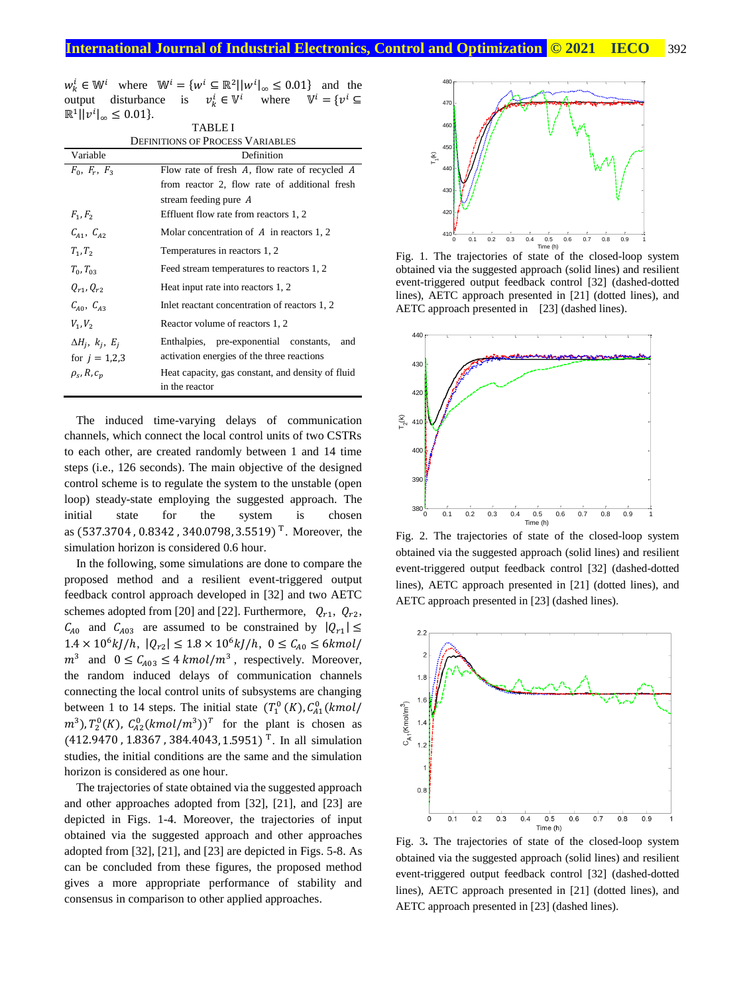|                                            | $w_k^i \in \mathbb{W}^i$ where $\mathbb{W}^i = \{w^i \subseteq \mathbb{R}^2    w^i _{\infty} \leq 0.01\}$ and the |  |  |
|--------------------------------------------|-------------------------------------------------------------------------------------------------------------------|--|--|
|                                            | output disturbance is $v_k^i \in V^i$ where $V^i = \{v^i \subseteq V^i\}$                                         |  |  |
| $\mathbb{R}^1   v^i _{\infty} \leq 0.01$ . | $T \wedge D T$                                                                                                    |  |  |
|                                            |                                                                                                                   |  |  |

| LADLEI                                  |                                                   |  |  |  |  |
|-----------------------------------------|---------------------------------------------------|--|--|--|--|
| <b>DEFINITIONS OF PROCESS VARIABLES</b> |                                                   |  |  |  |  |
| Variable                                | Definition                                        |  |  |  |  |
| $F_0, F_r, F_3$                         | Flow rate of fresh A, flow rate of recycled A     |  |  |  |  |
|                                         | from reactor 2, flow rate of additional fresh     |  |  |  |  |
|                                         | stream feeding pure A                             |  |  |  |  |
| $F_1, F_2$                              | Effluent flow rate from reactors 1, 2             |  |  |  |  |
| $C_{41}$ , $C_{42}$                     | Molar concentration of $A$ in reactors 1, 2       |  |  |  |  |
| $T_1, T_2$                              | Temperatures in reactors 1, 2                     |  |  |  |  |
| $T_0, T_{03}$                           | Feed stream temperatures to reactors 1, 2         |  |  |  |  |
| $0_{r1}, 0_{r2}$                        | Heat input rate into reactors 1, 2                |  |  |  |  |
| $C_{40}$ , $C_{43}$                     | Inlet reactant concentration of reactors 1, 2     |  |  |  |  |
| $V_1, V_2$                              | Reactor volume of reactors 1, 2                   |  |  |  |  |
| $\Delta H_i$ , $k_i$ , $E_i$            | Enthalpies, pre-exponential constants,<br>and     |  |  |  |  |
| for $j = 1,2,3$                         | activation energies of the three reactions        |  |  |  |  |
| $\rho_s$ , R, $c_n$                     | Heat capacity, gas constant, and density of fluid |  |  |  |  |
|                                         | in the reactor                                    |  |  |  |  |

The induced time-varying delays of communication channels, which connect the local control units of two CSTRs to each other, are created randomly between 1 and 14 time steps (i.e., 126 seconds). The main objective of the designed control scheme is to regulate the system to the unstable (open loop) steady-state employing the suggested approach. The initial state for the system is chosen as (537.3704 , 0.8342 , 340.0798, 3.5519) T . Moreover, the simulation horizon is considered 0.6 hour.

In the following, some simulations are done to compare the proposed method and a resilient event-triggered output feedback control approach developed in [32] and two AETC schemes adopted from [20] and [22]. Furthermore,  $Q_{r1}$ ,  $Q_{r2}$ ,  $C_{A0}$  and  $C_{A03}$  are assumed to be constrained by  $|Q_{r1}| \leq$  $1.4 \times 10^6 k J/h$ ,  $|Q_{r2}| \leq 1.8 \times 10^6 k J/h$ ,  $0 \leq C_{A0} \leq 6 kmol/m$  $m^3$  and  $0 \leq C_{A03} \leq 4$  kmol/m<sup>3</sup>, respectively. Moreover, the random induced delays of communication channels connecting the local control units of subsystems are changing between 1 to 14 steps. The initial state  $(T_1^0(K), C_{A1}^0(kmol))$  $(m^3)$ ,  $T_2^0(K)$ ,  $C_{A2}^0(kmol/m^3)$ <sup>T</sup> for the plant is chosen as  $(412.9470, 1.8367, 384.4043, 1.5951)^T$ . In all simulation studies, the initial conditions are the same and the simulation horizon is considered as one hour.

The trajectories of state obtained via the suggested approach and other approaches adopted from [32], [21], and [23] are depicted in Figs. 1-4. Moreover, the trajectories of input obtained via the suggested approach and other approaches adopted from [32], [21], and [23] are depicted in Figs. 5-8. As can be concluded from these figures, the proposed method gives a more appropriate performance of stability and consensus in comparison to other applied approaches.



Fig. 1. The trajectories of state of the closed-loop system obtained via the suggested approach (solid lines) and resilient event-triggered output feedback control [32] (dashed-dotted lines), AETC approach presented in [21] (dotted lines), and AETC approach presented in [23] (dashed lines).



Fig. 2. The trajectories of state of the closed-loop system obtained via the suggested approach (solid lines) and resilient event-triggered output feedback control [32] (dashed-dotted lines), AETC approach presented in [21] (dotted lines), and AETC approach presented in [23] (dashed lines).



Fig. 3**.** The trajectories of state of the closed-loop system obtained via the suggested approach (solid lines) and resilient event-triggered output feedback control [32] (dashed-dotted lines), AETC approach presented in [21] (dotted lines), and AETC approach presented in [23] (dashed lines).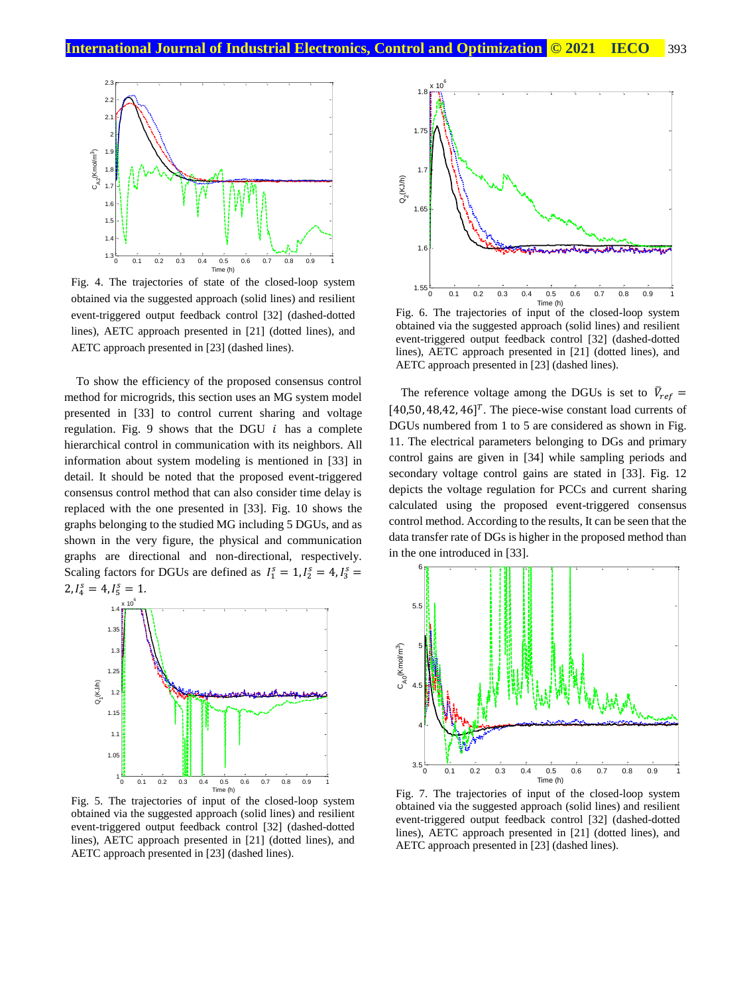

Fig. 4. The trajectories of state of the closed-loop system obtained via the suggested approach (solid lines) and resilient event-triggered output feedback control [32] (dashed-dotted lines), AETC approach presented in [21] (dotted lines), and AETC approach presented in [23] (dashed lines).

To show the efficiency of the proposed consensus control method for microgrids, this section uses an MG system model presented in [33] to control current sharing and voltage regulation. Fig. 9 shows that the DGU  $i$  has a complete hierarchical control in communication with its neighbors. All information about system modeling is mentioned in [33] in detail. It should be noted that the proposed event-triggered consensus control method that can also consider time delay is replaced with the one presented in [33]. Fig. 10 shows the graphs belonging to the studied MG including 5 DGUs, and as shown in the very figure, the physical and communication graphs are directional and non-directional, respectively. Scaling factors for DGUs are defined as  $I_1^s = 1, I_2^s = 4, I_3^s =$  $2, I_4^s = 4, I_5^s = 1.$ 



Fig. 5. The trajectories of input of the closed-loop system obtained via the suggested approach (solid lines) and resilient event-triggered output feedback control [32] (dashed-dotted lines), AETC approach presented in [21] (dotted lines), and AETC approach presented in [23] (dashed lines).



Fig. 6. The trajectories of input of the closed-loop system obtained via the suggested approach (solid lines) and resilient event-triggered output feedback control [32] (dashed-dotted lines), AETC approach presented in [21] (dotted lines), and AETC approach presented in [23] (dashed lines).

The reference voltage among the DGUs is set to  $\bar{V}_{ref}$  =  $[40,50, 48,42, 46]^T$ . The piece-wise constant load currents of DGUs numbered from 1 to 5 are considered as shown in Fig. 11. The electrical parameters belonging to DGs and primary control gains are given in [34] while sampling periods and secondary voltage control gains are stated in [33]. Fig. 12 depicts the voltage regulation for PCCs and current sharing calculated using the proposed event-triggered consensus control method. According to the results, It can be seen that the data transfer rate of DGs is higher in the proposed method than in the one introduced in [33].



Fig. 7. The trajectories of input of the closed-loop system obtained via the suggested approach (solid lines) and resilient event-triggered output feedback control [32] (dashed-dotted lines), AETC approach presented in [21] (dotted lines), and AETC approach presented in [23] (dashed lines).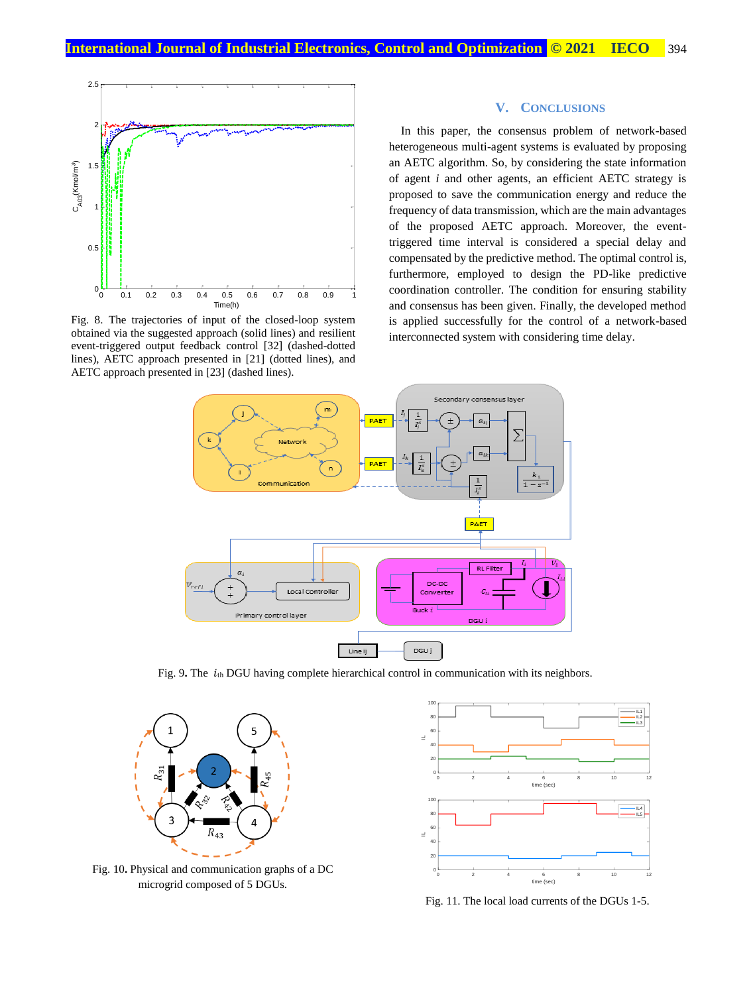

Fig. 8. The trajectories of input of the closed-loop system obtained via the suggested approach (solid lines) and resilient event-triggered output feedback control [32] (dashed-dotted lines), AETC approach presented in [21] (dotted lines), and AETC approach presented in [23] (dashed lines).

# **V. CONCLUSIONS**

In this paper, the consensus problem of network-based heterogeneous multi-agent systems is evaluated by proposing an AETC algorithm. So, by considering the state information of agent *i* and other agents, an efficient AETC strategy is proposed to save the communication energy and reduce the frequency of data transmission, which are the main advantages of the proposed AETC approach. Moreover, the eventtriggered time interval is considered a special delay and compensated by the predictive method. The optimal control is, furthermore, employed to design the PD-like predictive coordination controller. The condition for ensuring stability and consensus has been given. Finally, the developed method is applied successfully for the control of a network-based interconnected system with considering time delay.



Fig. 9. The  $i<sub>th</sub>$  DGU having complete hierarchical control in communication with its neighbors.



Fig. 10**.** Physical and communication graphs of a DC microgrid composed of 5 DGUs.



Fig. 11. The local load currents of the DGUs 1-5.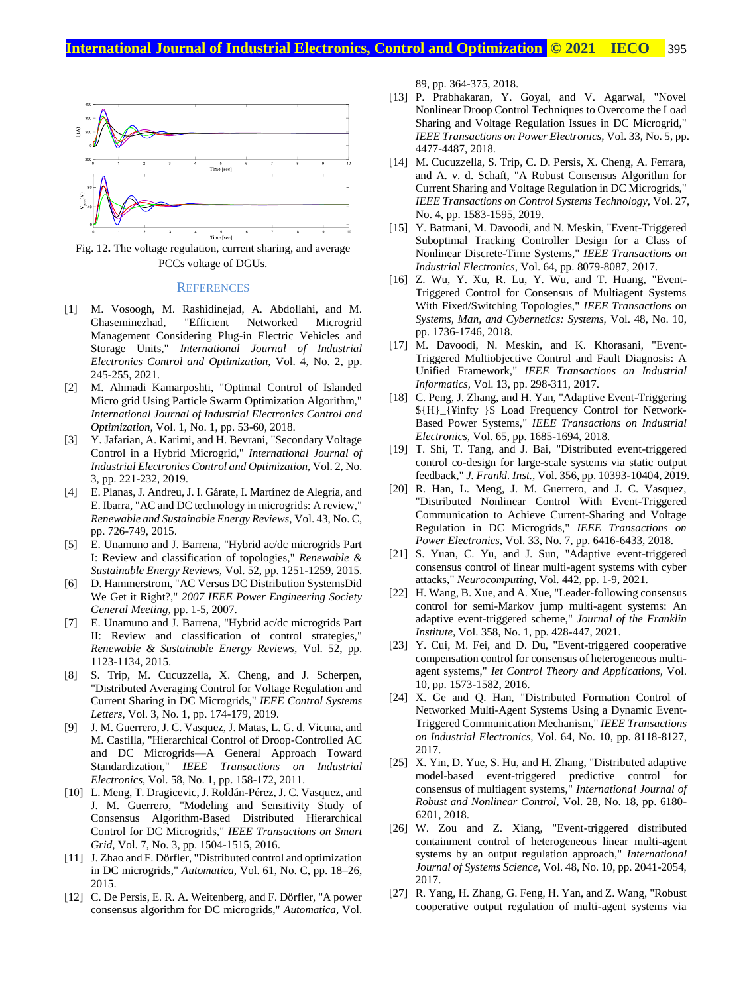

Fig. 12**.** The voltage regulation, current sharing, and average PCCs voltage of DGUs.

#### **REFERENCES**

- [1] M. Vosoogh, M. Rashidinejad, A. Abdollahi, and M. Ghaseminezhad, "Efficient Networked Microgrid Management Considering Plug-in Electric Vehicles and Storage Units," *International Journal of Industrial Electronics Control and Optimization,* Vol. 4, No. 2, pp. 245-255, 2021.
- [2] M. Ahmadi Kamarposhti, "Optimal Control of Islanded Micro grid Using Particle Swarm Optimization Algorithm," *International Journal of Industrial Electronics Control and Optimization,* Vol. 1, No. 1, pp. 53-60, 2018.
- [3] Y. Jafarian, A. Karimi, and H. Bevrani, "Secondary Voltage Control in a Hybrid Microgrid," *International Journal of Industrial Electronics Control and Optimization,* Vol. 2, No. 3, pp. 221-232, 2019.
- [4] E. Planas, J. Andreu, J. I. Gárate, I. Martínez de Alegría, and E. Ibarra, "AC and DC technology in microgrids: A review," *Renewable and Sustainable Energy Reviews,* Vol. 43, No. C, pp. 726-749, 2015.
- [5] E. Unamuno and J. Barrena, "Hybrid ac/dc microgrids Part I: Review and classification of topologies," *Renewable & Sustainable Energy Reviews,* Vol. 52, pp. 1251-1259, 2015.
- [6] D. Hammerstrom, "AC Versus DC Distribution SystemsDid We Get it Right?," *2007 IEEE Power Engineering Society General Meeting,* pp. 1-5, 2007.
- [7] E. Unamuno and J. Barrena, "Hybrid ac/dc microgrids Part II: Review and classification of control strategies," *Renewable & Sustainable Energy Reviews,* Vol. 52, pp. 1123-1134, 2015.
- [8] S. Trip, M. Cucuzzella, X. Cheng, and J. Scherpen, "Distributed Averaging Control for Voltage Regulation and Current Sharing in DC Microgrids," *IEEE Control Systems Letters,* Vol. 3, No. 1, pp. 174-179, 2019.
- [9] J. M. Guerrero, J. C. Vasquez, J. Matas, L. G. d. Vicuna, and M. Castilla, "Hierarchical Control of Droop-Controlled AC and DC Microgrids—A General Approach Toward Standardization," *IEEE Transactions on Industrial Electronics,* Vol. 58, No. 1, pp. 158-172, 2011.
- [10] L. Meng, T. Dragicevic, J. Roldán-Pérez, J. C. Vasquez, and J. M. Guerrero, "Modeling and Sensitivity Study of Consensus Algorithm-Based Distributed Hierarchical Control for DC Microgrids," *IEEE Transactions on Smart Grid,* Vol. 7, No. 3, pp. 1504-1515, 2016.
- [11] J. Zhao and F. Dörfler, "Distributed control and optimization in DC microgrids," *Automatica,* Vol. 61, No. C, pp. 18–26, 2015.
- [12] C. De Persis, E. R. A. Weitenberg, and F. Dörfler, "A power consensus algorithm for DC microgrids," *Automatica,* Vol.

89, pp. 364-375, 2018.

- [13] P. Prabhakaran, Y. Goyal, and V. Agarwal, "Novel Nonlinear Droop Control Techniques to Overcome the Load Sharing and Voltage Regulation Issues in DC Microgrid," *IEEE Transactions on Power Electronics,* Vol. 33, No. 5, pp. 4477-4487, 2018.
- [14] M. Cucuzzella, S. Trip, C. D. Persis, X. Cheng, A. Ferrara, and A. v. d. Schaft, "A Robust Consensus Algorithm for Current Sharing and Voltage Regulation in DC Microgrids," *IEEE Transactions on Control Systems Technology,* Vol. 27, No. 4, pp. 1583-1595, 2019.
- [15] Y. Batmani, M. Davoodi, and N. Meskin, "Event-Triggered Suboptimal Tracking Controller Design for a Class of Nonlinear Discrete-Time Systems," *IEEE Transactions on Industrial Electronics,* Vol. 64, pp. 8079-8087, 2017.
- [16] Z. Wu, Y. Xu, R. Lu, Y. Wu, and T. Huang, "Event-Triggered Control for Consensus of Multiagent Systems With Fixed/Switching Topologies," *IEEE Transactions on Systems, Man, and Cybernetics: Systems,* Vol. 48, No. 10, pp. 1736-1746, 2018.
- [17] M. Davoodi, N. Meskin, and K. Khorasani, "Event-Triggered Multiobjective Control and Fault Diagnosis: A Unified Framework," *IEEE Transactions on Industrial Informatics,* Vol. 13, pp. 298-311, 2017.
- [18] C. Peng, J. Zhang, and H. Yan, "Adaptive Event-Triggering \${H}\_{¥infty }\$ Load Frequency Control for Network-Based Power Systems," *IEEE Transactions on Industrial Electronics,* Vol. 65, pp. 1685-1694, 2018.
- [19] T. Shi, T. Tang, and J. Bai, "Distributed event-triggered control co-design for large-scale systems via static output feedback," *J. Frankl. Inst.,* Vol. 356, pp. 10393-10404, 2019.
- [20] R. Han, L. Meng, J. M. Guerrero, and J. C. Vasquez, "Distributed Nonlinear Control With Event-Triggered Communication to Achieve Current-Sharing and Voltage Regulation in DC Microgrids," *IEEE Transactions on Power Electronics,* Vol. 33, No. 7, pp. 6416-6433, 2018.
- [21] S. Yuan, C. Yu, and J. Sun, "Adaptive event-triggered consensus control of linear multi-agent systems with cyber attacks," *Neurocomputing,* Vol. 442, pp. 1-9, 2021.
- [22] H. Wang, B. Xue, and A. Xue, "Leader-following consensus control for semi-Markov jump multi-agent systems: An adaptive event-triggered scheme," *Journal of the Franklin Institute,* Vol. 358, No. 1, pp. 428-447, 2021.
- [23] Y. Cui, M. Fei, and D. Du, "Event-triggered cooperative compensation control for consensus of heterogeneous multiagent systems," *Iet Control Theory and Applications,* Vol. 10, pp. 1573-1582, 2016.
- [24] X. Ge and Q. Han, "Distributed Formation Control of Networked Multi-Agent Systems Using a Dynamic Event-Triggered Communication Mechanism," *IEEE Transactions on Industrial Electronics,* Vol. 64, No. 10, pp. 8118-8127, 2017.
- [25] X. Yin, D. Yue, S. Hu, and H. Zhang, "Distributed adaptive model-based event-triggered predictive control for consensus of multiagent systems," *International Journal of Robust and Nonlinear Control,* Vol. 28, No. 18, pp. 6180- 6201, 2018.
- [26] W. Zou and Z. Xiang, "Event-triggered distributed containment control of heterogeneous linear multi-agent systems by an output regulation approach," *International Journal of Systems Science,* Vol. 48, No. 10, pp. 2041-2054, 2017.
- [27] R. Yang, H. Zhang, G. Feng, H. Yan, and Z. Wang, "Robust cooperative output regulation of multi-agent systems via